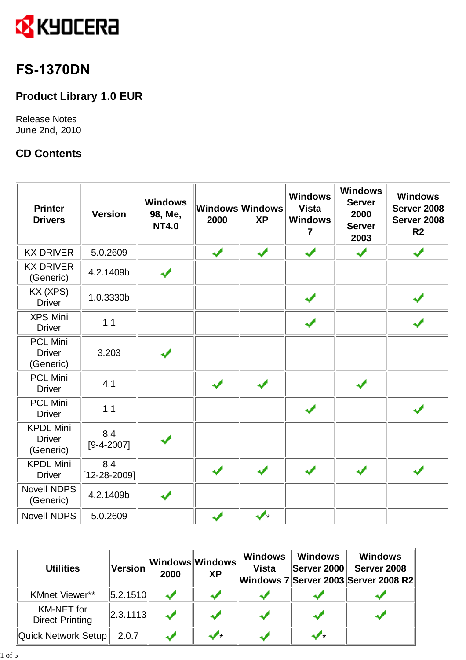

# **FS-1370DN**

## **Product Library 1.0 EUR**

Release Notes June 2nd, 2010

### **CD Contents**

| <b>Printer</b><br><b>Drivers</b>               | <b>Version</b>      | <b>Windows</b><br>98, Me,<br><b>NT4.0</b> | 2000 | Windows Windows<br><b>XP</b> | <b>Windows</b><br><b>Vista</b><br><b>Windows</b><br>7 | <b>Windows</b><br><b>Server</b><br>2000<br><b>Server</b><br>2003 | <b>Windows</b><br>Server 2008<br>Server 2008<br>R <sub>2</sub> |
|------------------------------------------------|---------------------|-------------------------------------------|------|------------------------------|-------------------------------------------------------|------------------------------------------------------------------|----------------------------------------------------------------|
| <b>KX DRIVER</b>                               | 5.0.2609            |                                           | ✔    | $\overline{\mathbf{v}}$      | √                                                     |                                                                  |                                                                |
| <b>KX DRIVER</b><br>(Generic)                  | 4.2.1409b           | ✔                                         |      |                              |                                                       |                                                                  |                                                                |
| KX (XPS)<br><b>Driver</b>                      | 1.0.3330b           |                                           |      |                              |                                                       |                                                                  |                                                                |
| <b>XPS Mini</b><br><b>Driver</b>               | 1.1                 |                                           |      |                              | J                                                     |                                                                  |                                                                |
| <b>PCL Mini</b><br><b>Driver</b><br>(Generic)  | 3.203               |                                           |      |                              |                                                       |                                                                  |                                                                |
| <b>PCL Mini</b><br><b>Driver</b>               | 4.1                 |                                           | ✔    | ✔                            |                                                       |                                                                  |                                                                |
| <b>PCL Mini</b><br><b>Driver</b>               | 1.1                 |                                           |      |                              |                                                       |                                                                  |                                                                |
| <b>KPDL Mini</b><br><b>Driver</b><br>(Generic) | 8.4<br>$[9-4-2007]$ |                                           |      |                              |                                                       |                                                                  |                                                                |
| <b>KPDL Mini</b><br><b>Driver</b>              | 8.4<br>[12-28-2009] |                                           | ✔    | ✔                            |                                                       |                                                                  |                                                                |
| <b>Novell NDPS</b><br>(Generic)                | 4.2.1409b           | مد                                        |      |                              |                                                       |                                                                  |                                                                |
| Novell NDPS                                    | 5.0.2609            |                                           |      | $\boldsymbol{\mathcal{J}}$ . |                                                       |                                                                  |                                                                |

| <b>Utilities</b>                            | Version        | 2000 | ∥Windows∣Windows∣<br><b>XP</b> | <b>Windows</b><br><b>Vista</b> | Windows<br> Server 2000 | <b>Windows</b><br>Server 2008<br>Windows 7 Server 2003 Server 2008 R2 |
|---------------------------------------------|----------------|------|--------------------------------|--------------------------------|-------------------------|-----------------------------------------------------------------------|
| <b>KMnet Viewer**</b>                       | $\ 5.2.1510\ $ |      |                                |                                |                         |                                                                       |
| <b>KM-NET</b> for<br><b>Direct Printing</b> | $\ 2.3.1113\ $ |      |                                |                                |                         |                                                                       |
| Quick Network Setup                         | 2.0.7          |      | ≁                              |                                |                         |                                                                       |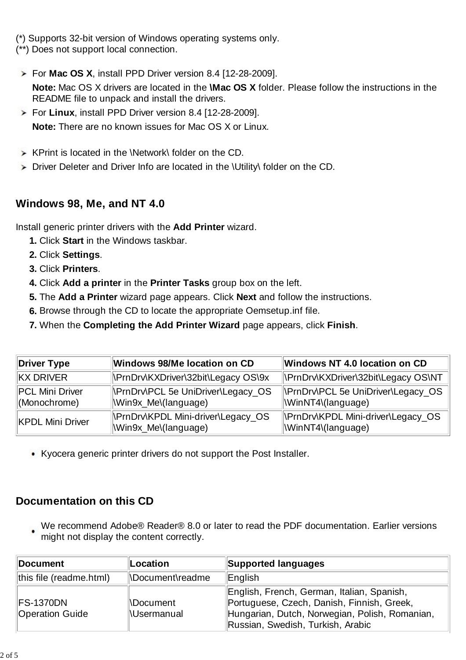(\*) Supports 32-bit version of Windows operating systems only. (\*\*) Does not support local connection.

- For **Mac OS X**, install PPD Driver version 8.4 [12-28-2009]. **Note:** Mac OS X drivers are located in the **\Mac OS X** folder. Please follow the instructions in the README file to unpack and install the drivers.
- For **Linux**, install PPD Driver version 8.4 [12-28-2009]. **Note:** There are no known issues for Mac OS X or Linux.
- $\triangleright$  KPrint is located in the \Network\ folder on the CD.
- Driver Deleter and Driver Info are located in the \Utility\ folder on the CD.

## **Windows 98, Me, and NT 4.0**

Install generic printer drivers with the **Add Printer** wizard.

- **1.** Click **Start** in the Windows taskbar.
- **2.** Click **Settings**.
- **3.** Click **Printers**.
- **4.** Click **Add a printer** in the **Printer Tasks** group box on the left.
- **5.** The **Add a Printer** wizard page appears. Click **Next** and follow the instructions.
- **6.** Browse through the CD to locate the appropriate Oemsetup.inf file.
- **7.** When the **Completing the Add Printer Wizard** page appears, click **Finish**.

| Driver Type                     | Windows 98/Me location on CD                                     | Windows NT 4.0 location on CD                                 |
|---------------------------------|------------------------------------------------------------------|---------------------------------------------------------------|
| <b>KX DRIVER</b>                | NPrnDrv\KXDriver\32bit\Legacy OS\9x                              | NPrnDrv\KXDriver\32bit\Legacy OS\NT                           |
| PCL Mini Driver<br>(Monochrome) | <b>NPrnDrvNCL 5e UniDriver\Legacy_OS</b><br>Win9x_Me\(language)  | <b>NemDrvNPCL 5e UniDriver\Legacy_OS</b><br>WinNT4\(language) |
| <b>KPDL Mini Driver</b>         | <b>NPrnDrv\KPDL Mini-driver\Legacy_OS</b><br>Win9x_Me\(language) | NPrnDrv\KPDL Mini-driver\Legacy_OS<br>WinNT4\(language)       |

Kyocera generic printer drivers do not support the Post Installer.

## **Documentation on this CD**

We recommend Adobe® Reader® 8.0 or later to read the PDF documentation. Earlier versions might not display the content correctly.

| <b>Document</b>                             | Location                               | Supported languages                                                                                                                                                             |  |  |
|---------------------------------------------|----------------------------------------|---------------------------------------------------------------------------------------------------------------------------------------------------------------------------------|--|--|
| this file (readme.html)<br>NDocument\readme |                                        | ∥English                                                                                                                                                                        |  |  |
| <b>IFS-1370DN</b><br><b>Operation Guide</b> | <b>NDocument</b><br><b>Nusermanual</b> | English, French, German, Italian, Spanish,<br>Portuguese, Czech, Danish, Finnish, Greek,<br>Hungarian, Dutch, Norwegian, Polish, Romanian,<br>Russian, Swedish, Turkish, Arabic |  |  |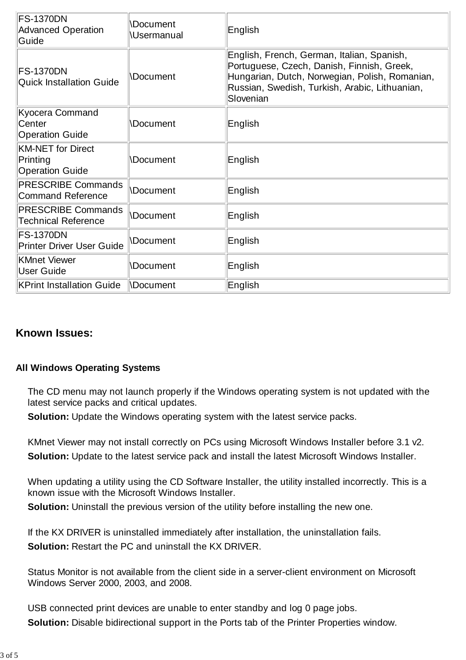| <b>FS-1370DN</b><br><b>Advanced Operation</b><br>Guide         | <b>Document</b><br><b>Usermanual</b> | English                                                                                                                                                                                                   |  |
|----------------------------------------------------------------|--------------------------------------|-----------------------------------------------------------------------------------------------------------------------------------------------------------------------------------------------------------|--|
| <b>FS-1370DN</b><br><b>Quick Installation Guide</b>            | <b>\Document</b>                     | English, French, German, Italian, Spanish,<br>Portuguese, Czech, Danish, Finnish, Greek,<br>Hungarian, Dutch, Norwegian, Polish, Romanian,<br>Russian, Swedish, Turkish, Arabic, Lithuanian,<br>Slovenian |  |
| Kyocera Command<br>Center<br><b>Operation Guide</b>            | Document                             | English                                                                                                                                                                                                   |  |
| <b>KM-NET for Direct</b><br>Printing<br><b>Operation Guide</b> | Document                             | English                                                                                                                                                                                                   |  |
| <b>PRESCRIBE Commands</b><br>Command Reference                 | <b>Document</b>                      | English                                                                                                                                                                                                   |  |
| <b>PRESCRIBE Commands</b><br><b>Technical Reference</b>        | <b>Document</b>                      | English                                                                                                                                                                                                   |  |
| <b>FS-1370DN</b><br><b>Printer Driver User Guide</b>           | <b>\Document</b>                     | English                                                                                                                                                                                                   |  |
| KMnet Viewer<br>User Guide                                     | <b>Document</b>                      | English                                                                                                                                                                                                   |  |
| <b>KPrint Installation Guide</b>                               | <b>NDocument</b>                     | English                                                                                                                                                                                                   |  |

#### **Known Issues:**

#### **All Windows Operating Systems**

 The CD menu may not launch properly if the Windows operating system is not updated with the latest service packs and critical updates.

**Solution:** Update the Windows operating system with the latest service packs.

 KMnet Viewer may not install correctly on PCs using Microsoft Windows Installer before 3.1 v2. **Solution:** Update to the latest service pack and install the latest Microsoft Windows Installer.

When updating a utility using the CD Software Installer, the utility installed incorrectly. This is a known issue with the Microsoft Windows Installer.

**Solution:** Uninstall the previous version of the utility before installing the new one.

 If the KX DRIVER is uninstalled immediately after installation, the uninstallation fails. **Solution:** Restart the PC and uninstall the KX DRIVER.

 Status Monitor is not available from the client side in a server-client environment on Microsoft Windows Server 2000, 2003, and 2008.

 USB connected print devices are unable to enter standby and log 0 page jobs. **Solution:** Disable bidirectional support in the Ports tab of the Printer Properties window.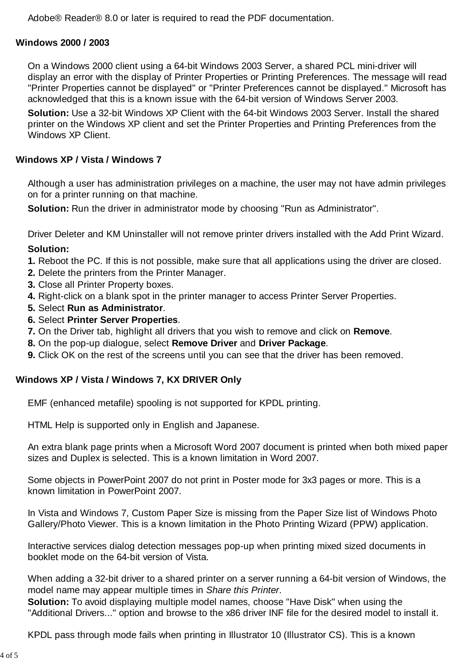Adobe® Reader® 8.0 or later is required to read the PDF documentation.

#### **Windows 2000 / 2003**

On a Windows 2000 client using a 64-bit Windows 2003 Server, a shared PCL mini-driver will display an error with the display of Printer Properties or Printing Preferences. The message will read "Printer Properties cannot be displayed" or "Printer Preferences cannot be displayed." Microsoft has acknowledged that this is a known issue with the 64-bit version of Windows Server 2003.

**Solution:** Use a 32-bit Windows XP Client with the 64-bit Windows 2003 Server. Install the shared printer on the Windows XP client and set the Printer Properties and Printing Preferences from the Windows **XP** Client.

#### **Windows XP / Vista / Windows 7**

 Although a user has administration privileges on a machine, the user may not have admin privileges on for a printer running on that machine.

**Solution:** Run the driver in administrator mode by choosing "Run as Administrator".

Driver Deleter and KM Uninstaller will not remove printer drivers installed with the Add Print Wizard.

#### **Solution:**

- **1.** Reboot the PC. If this is not possible, make sure that all applications using the driver are closed.
- **2.** Delete the printers from the Printer Manager.
- **3.** Close all Printer Property boxes.
- **4.** Right-click on a blank spot in the printer manager to access Printer Server Properties.
- **5.** Select **Run as Administrator**.
- **6.** Select **Printer Server Properties**.
- **7.** On the Driver tab, highlight all drivers that you wish to remove and click on **Remove**.
- **8.** On the pop-up dialogue, select **Remove Driver** and **Driver Package**.
- **9.** Click OK on the rest of the screens until you can see that the driver has been removed.

#### **Windows XP / Vista / Windows 7, KX DRIVER Only**

EMF (enhanced metafile) spooling is not supported for KPDL printing.

HTML Help is supported only in English and Japanese.

An extra blank page prints when a Microsoft Word 2007 document is printed when both mixed paper sizes and Duplex is selected. This is a known limitation in Word 2007.

Some objects in PowerPoint 2007 do not print in Poster mode for 3x3 pages or more. This is a known limitation in PowerPoint 2007.

In Vista and Windows 7, Custom Paper Size is missing from the Paper Size list of Windows Photo Gallery/Photo Viewer. This is a known limitation in the Photo Printing Wizard (PPW) application.

Interactive services dialog detection messages pop-up when printing mixed sized documents in booklet mode on the 64-bit version of Vista.

When adding a 32-bit driver to a shared printer on a server running a 64-bit version of Windows, the model name may appear multiple times in *Share this Printer*.

**Solution:** To avoid displaying multiple model names, choose "Have Disk" when using the "Additional Drivers..." option and browse to the x86 driver INF file for the desired model to install it.